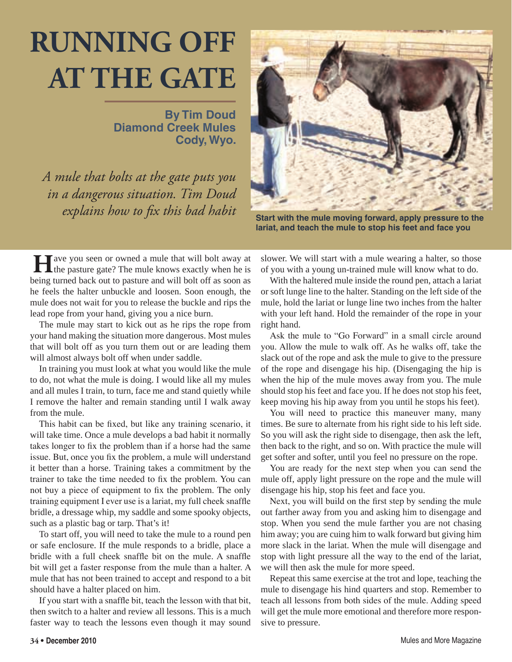## **RUNNING OFF AT THE GATE**

**By Tim Doud Diamond Creek Mules Cody, Wyo.**

*A mule that bolts at the gate puts you in a dangerous situation. Tim Doud explains how to fix this bad habit* Start with the mule moving forward, apply pressure to the



**lariat, and teach the mule to stop his feet and face you**

**H**ave you seen or owned a mule that will bolt away at the pasture gate? The mule knows exactly when he is being turned back out to pasture and will bolt off as soon as he feels the halter unbuckle and loosen. Soon enough, the mule does not wait for you to release the buckle and rips the lead rope from your hand, giving you a nice burn.

The mule may start to kick out as he rips the rope from your hand making the situation more dangerous. Most mules that will bolt off as you turn them out or are leading them will almost always bolt off when under saddle.

In training you must look at what you would like the mule to do, not what the mule is doing. I would like all my mules and all mules I train, to turn, face me and stand quietly while I remove the halter and remain standing until I walk away from the mule.

This habit can be fixed, but like any training scenario, it will take time. Once a mule develops a bad habit it normally takes longer to fix the problem than if a horse had the same issue. But, once you fix the problem, a mule will understand it better than a horse. Training takes a commitment by the trainer to take the time needed to fix the problem. You can not buy a piece of equipment to fix the problem. The only training equipment I ever use is a lariat, my full cheek snaffle bridle, a dressage whip, my saddle and some spooky objects, such as a plastic bag or tarp. That's it!

To start off, you will need to take the mule to a round pen or safe enclosure. If the mule responds to a bridle, place a bridle with a full cheek snaffle bit on the mule. A snaffle bit will get a faster response from the mule than a halter. A mule that has not been trained to accept and respond to a bit should have a halter placed on him.

If you start with a snaffle bit, teach the lesson with that bit, then switch to a halter and review all lessons. This is a much faster way to teach the lessons even though it may sound

slower. We will start with a mule wearing a halter, so those of you with a young un-trained mule will know what to do.

With the haltered mule inside the round pen, attach a lariat or soft lunge line to the halter. Standing on the left side of the mule, hold the lariat or lunge line two inches from the halter with your left hand. Hold the remainder of the rope in your right hand.

Ask the mule to "Go Forward" in a small circle around you. Allow the mule to walk off. As he walks off, take the slack out of the rope and ask the mule to give to the pressure of the rope and disengage his hip. (Disengaging the hip is when the hip of the mule moves away from you. The mule should stop his feet and face you. If he does not stop his feet, keep moving his hip away from you until he stops his feet).

You will need to practice this maneuver many, many times. Be sure to alternate from his right side to his left side. So you will ask the right side to disengage, then ask the left, then back to the right, and so on. With practice the mule will get softer and softer, until you feel no pressure on the rope.

You are ready for the next step when you can send the mule off, apply light pressure on the rope and the mule will disengage his hip, stop his feet and face you.

Next, you will build on the first step by sending the mule out farther away from you and asking him to disengage and stop. When you send the mule farther you are not chasing him away; you are cuing him to walk forward but giving him more slack in the lariat. When the mule will disengage and stop with light pressure all the way to the end of the lariat, we will then ask the mule for more speed.

Repeat this same exercise at the trot and lope, teaching the mule to disengage his hind quarters and stop. Remember to teach all lessons from both sides of the mule. Adding speed will get the mule more emotional and therefore more responsive to pressure.